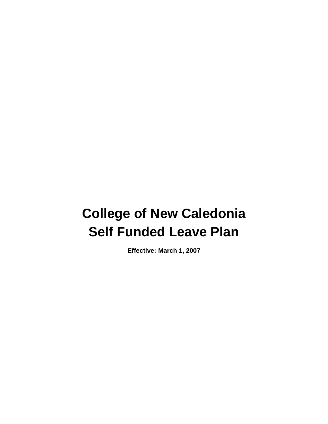# **College of New Caledonia Self Funded Leave Plan**

**Effective: March 1, 2007**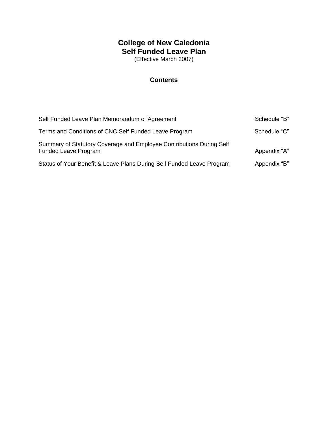# **College of New Caledonia Self Funded Leave Plan**

(Effective March 2007)

# **Contents**

| Self Funded Leave Plan Memorandum of Agreement                                                      | Schedule "B" |
|-----------------------------------------------------------------------------------------------------|--------------|
| Terms and Conditions of CNC Self Funded Leave Program                                               | Schedule "C" |
| Summary of Statutory Coverage and Employee Contributions During Self<br><b>Funded Leave Program</b> | Appendix "A" |
| Status of Your Benefit & Leave Plans During Self Funded Leave Program                               | Appendix "B" |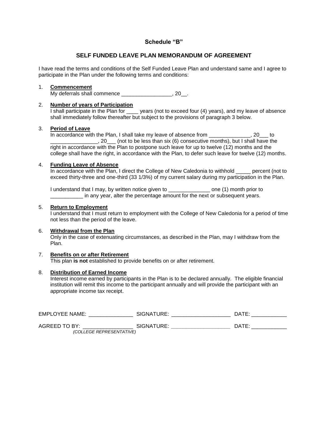## **Schedule "B"**

## **SELF FUNDED LEAVE PLAN MEMORANDUM OF AGREEMENT**

I have read the terms and conditions of the Self Funded Leave Plan and understand same and I agree to participate in the Plan under the following terms and conditions:

#### 1. **Commencement**

My deferrals shall commence \_\_\_\_\_\_\_\_\_\_\_\_\_\_\_\_\_, 20\_\_.

#### 2. **Number of years of Participation**

I shall participate in the Plan for \_\_\_\_ years (not to exceed four (4) years), and my leave of absence shall immediately follow thereafter but subject to the provisions of paragraph 3 below.

#### 3. **Period of Leave**

In accordance with the Plan, I shall take my leave of absence from \_\_\_\_\_\_\_\_\_\_\_\_\_\_, 20\_\_\_ to \_\_\_\_\_\_\_\_\_\_\_\_\_\_\_\_, 20\_\_\_ (not to be less than six (6) consecutive months), but I shall have the right in accordance with the Plan to postpone such leave for up to twelve (12) months and the college shall have the right, in accordance with the Plan, to defer such leave for twelve (12) months.

#### 4. **Funding Leave of Absence**

In accordance with the Plan, I direct the College of New Caledonia to withhold percent (not to exceed thirty-three and one-third (33 1/3%) of my current salary during my participation in the Plan.

I understand that I may, by written notice given to \_\_\_\_\_\_\_\_\_\_\_\_\_\_\_\_ one (1) month prior to in any year, alter the percentage amount for the next or subsequent years.

#### 5. **Return to Employment**

I understand that I must return to employment with the College of New Caledonia for a period of time not less than the period of the leave.

#### 6. **Withdrawal from the Plan**

Only in the case of extenuating circumstances, as described in the Plan, may I withdraw from the Plan.

#### 7. **Benefits on or after Retirement**

This plan **is not** established to provide benefits on or after retirement.

#### 8. **Distribution of Earned Income**

Interest income earned by participants in the Plan is to be declared annually. The eligible financial institution will remit this income to the participant annually and will provide the participant with an appropriate income tax receipt.

| <b>EMPLOYEE NAME:</b>    | SIGNATURE: | DATE: |
|--------------------------|------------|-------|
| AGREED TO BY:            | SIGNATURE: | DATE: |
| (COLLEGE REPRESENTATIVE) |            |       |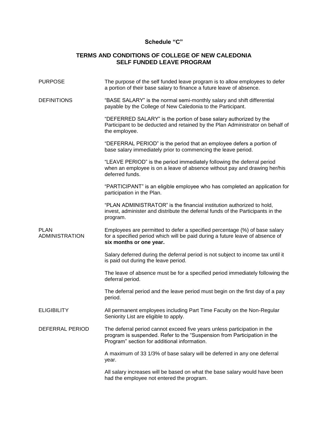# **Schedule "C"**

## **TERMS AND CONDITIONS OF COLLEGE OF NEW CALEDONIA SELF FUNDED LEAVE PROGRAM**

| <b>PURPOSE</b>                       | The purpose of the self funded leave program is to allow employees to defer<br>a portion of their base salary to finance a future leave of absence.                                                  |
|--------------------------------------|------------------------------------------------------------------------------------------------------------------------------------------------------------------------------------------------------|
| <b>DEFINITIONS</b>                   | "BASE SALARY" is the normal semi-monthly salary and shift differential<br>payable by the College of New Caledonia to the Participant.                                                                |
|                                      | "DEFERRED SALARY" is the portion of base salary authorized by the<br>Participant to be deducted and retained by the Plan Administrator on behalf of<br>the employee.                                 |
|                                      | "DEFERRAL PERIOD" is the period that an employee defers a portion of<br>base salary immediately prior to commencing the leave period.                                                                |
|                                      | "LEAVE PERIOD" is the period immediately following the deferral period<br>when an employee is on a leave of absence without pay and drawing her/his<br>deferred funds.                               |
|                                      | "PARTICIPANT" is an eligible employee who has completed an application for<br>participation in the Plan.                                                                                             |
|                                      | "PLAN ADMINISTRATOR" is the financial institution authorized to hold,<br>invest, administer and distribute the deferral funds of the Participants in the<br>program.                                 |
| <b>PLAN</b><br><b>ADMINISTRATION</b> | Employees are permitted to defer a specified percentage (%) of base salary<br>for a specified period which will be paid during a future leave of absence of<br>six months or one year.               |
|                                      | Salary deferred during the deferral period is not subject to income tax until it<br>is paid out during the leave period.                                                                             |
|                                      | The leave of absence must be for a specified period immediately following the<br>deferral period.                                                                                                    |
|                                      | The deferral period and the leave period must begin on the first day of a pay<br>period.                                                                                                             |
| <b>ELIGIBILITY</b>                   | All permanent employees including Part Time Faculty on the Non-Regular<br>Seniority List are eligible to apply.                                                                                      |
| DEFERRAL PERIOD                      | The deferral period cannot exceed five years unless participation in the<br>program is suspended. Refer to the "Suspension from Participation in the<br>Program" section for additional information. |
|                                      | A maximum of 33 1/3% of base salary will be deferred in any one deferral<br>year.                                                                                                                    |
|                                      | All salary increases will be based on what the base salary would have been<br>had the employee not entered the program.                                                                              |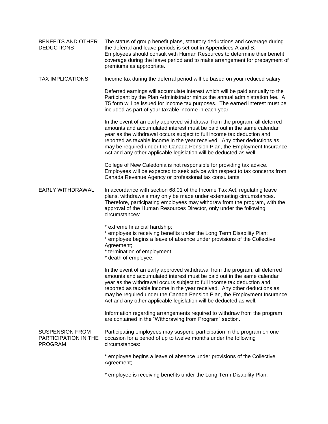| BENEFITS AND OTHER<br><b>DEDUCTIONS</b>                          | The status of group benefit plans, statutory deductions and coverage during<br>the deferral and leave periods is set out in Appendices A and B.<br>Employees should consult with Human Resources to determine their benefit<br>coverage during the leave period and to make arrangement for prepayment of<br>premiums as appropriate.                                                                                                                        |
|------------------------------------------------------------------|--------------------------------------------------------------------------------------------------------------------------------------------------------------------------------------------------------------------------------------------------------------------------------------------------------------------------------------------------------------------------------------------------------------------------------------------------------------|
| <b>TAX IMPLICATIONS</b>                                          | Income tax during the deferral period will be based on your reduced salary.                                                                                                                                                                                                                                                                                                                                                                                  |
|                                                                  | Deferred earnings will accumulate interest which will be paid annually to the<br>Participant by the Plan Administrator minus the annual administration fee. A<br>T5 form will be issued for income tax purposes. The earned interest must be<br>included as part of your taxable income in each year.                                                                                                                                                        |
|                                                                  | In the event of an early approved withdrawal from the program, all deferred<br>amounts and accumulated interest must be paid out in the same calendar<br>year as the withdrawal occurs subject to full income tax deduction and<br>reported as taxable income in the year received. Any other deductions as<br>may be required under the Canada Pension Plan, the Employment Insurance<br>Act and any other applicable legislation will be deducted as well. |
|                                                                  | College of New Caledonia is not responsible for providing tax advice.<br>Employees will be expected to seek advice with respect to tax concerns from<br>Canada Revenue Agency or professional tax consultants.                                                                                                                                                                                                                                               |
| <b>EARLY WITHDRAWAL</b>                                          | In accordance with section 68.01 of the Income Tax Act, regulating leave<br>plans, withdrawals may only be made under extenuating circumstances.<br>Therefore, participating employees may withdraw from the program, with the<br>approval of the Human Resources Director, only under the following<br>circumstances:                                                                                                                                       |
|                                                                  | * extreme financial hardship;<br>* employee is receiving benefits under the Long Term Disability Plan;<br>* employee begins a leave of absence under provisions of the Collective<br>Agreement;<br>* termination of employment;<br>* death of employee.                                                                                                                                                                                                      |
|                                                                  | In the event of an early approved withdrawal from the program; all deferred<br>amounts and accumulated interest must be paid out in the same calendar<br>year as the withdrawal occurs subject to full income tax deduction and<br>reported as taxable income in the year received. Any other deductions as<br>may be required under the Canada Pension Plan, the Employment Insurance<br>Act and any other applicable legislation will be deducted as well. |
|                                                                  | Information regarding arrangements required to withdraw from the program<br>are contained in the "Withdrawing from Program" section.                                                                                                                                                                                                                                                                                                                         |
| <b>SUSPENSION FROM</b><br>PARTICIPATION IN THE<br><b>PROGRAM</b> | Participating employees may suspend participation in the program on one<br>occasion for a period of up to twelve months under the following<br>circumstances:                                                                                                                                                                                                                                                                                                |
|                                                                  | * employee begins a leave of absence under provisions of the Collective<br>Agreement;                                                                                                                                                                                                                                                                                                                                                                        |
|                                                                  | * employee is receiving benefits under the Long Term Disability Plan.                                                                                                                                                                                                                                                                                                                                                                                        |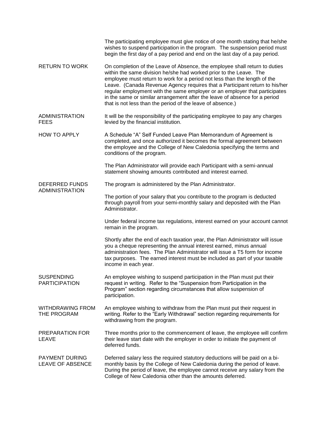|                                                  | The participating employee must give notice of one month stating that he/she<br>wishes to suspend participation in the program. The suspension period must<br>begin the first day of a pay period and end on the last day of a pay period.                                                                                                                                                                                                                                                                                             |  |
|--------------------------------------------------|----------------------------------------------------------------------------------------------------------------------------------------------------------------------------------------------------------------------------------------------------------------------------------------------------------------------------------------------------------------------------------------------------------------------------------------------------------------------------------------------------------------------------------------|--|
| <b>RETURN TO WORK</b>                            | On completion of the Leave of Absence, the employee shall return to duties<br>within the same division he/she had worked prior to the Leave. The<br>employee must return to work for a period not less than the length of the<br>Leave. (Canada Revenue Agency requires that a Participant return to his/her<br>regular employment with the same employer or an employer that participates<br>in the same or similar arrangement after the leave of absence for a period<br>that is not less than the period of the leave of absence.) |  |
| <b>ADMINISTRATION</b><br><b>FEES</b>             | It will be the responsibility of the participating employee to pay any charges<br>levied by the financial institution.                                                                                                                                                                                                                                                                                                                                                                                                                 |  |
| <b>HOW TO APPLY</b>                              | A Schedule "A" Self Funded Leave Plan Memorandum of Agreement is<br>completed, and once authorized it becomes the formal agreement between<br>the employee and the College of New Caledonia specifying the terms and<br>conditions of the program.                                                                                                                                                                                                                                                                                     |  |
|                                                  | The Plan Administrator will provide each Participant with a semi-annual<br>statement showing amounts contributed and interest earned.                                                                                                                                                                                                                                                                                                                                                                                                  |  |
| <b>DEFERRED FUNDS</b><br><b>ADMINISTRATION</b>   | The program is administered by the Plan Administrator.                                                                                                                                                                                                                                                                                                                                                                                                                                                                                 |  |
|                                                  | The portion of your salary that you contribute to the program is deducted<br>through payroll from your semi-monthly salary and deposited with the Plan<br>Administrator.                                                                                                                                                                                                                                                                                                                                                               |  |
|                                                  | Under federal income tax regulations, interest earned on your account cannot<br>remain in the program.                                                                                                                                                                                                                                                                                                                                                                                                                                 |  |
|                                                  | Shortly after the end of each taxation year, the Plan Administrator will issue<br>you a cheque representing the annual interest earned, minus annual<br>administration fees. The Plan Administrator will issue a T5 form for income<br>tax purposes. The earned interest must be included as part of your taxable<br>income in each year.                                                                                                                                                                                              |  |
| <b>SUSPENDING</b><br><b>PARTICIPATION</b>        | An employee wishing to suspend participation in the Plan must put their<br>request in writing. Refer to the "Suspension from Participation in the<br>Program" section regarding circumstances that allow suspension of<br>participation.                                                                                                                                                                                                                                                                                               |  |
| <b>WITHDRAWING FROM</b><br>THE PROGRAM           | An employee wishing to withdraw from the Plan must put their request in<br>writing. Refer to the "Early Withdrawal" section regarding requirements for<br>withdrawing from the program.                                                                                                                                                                                                                                                                                                                                                |  |
| PREPARATION FOR<br>LEAVE                         | Three months prior to the commencement of leave, the employee will confirm<br>their leave start date with the employer in order to initiate the payment of<br>deferred funds.                                                                                                                                                                                                                                                                                                                                                          |  |
| <b>PAYMENT DURING</b><br><b>LEAVE OF ABSENCE</b> | Deferred salary less the required statutory deductions will be paid on a bi-<br>monthly basis by the College of New Caledonia during the period of leave.<br>During the period of leave, the employee cannot receive any salary from the<br>College of New Caledonia other than the amounts deferred.                                                                                                                                                                                                                                  |  |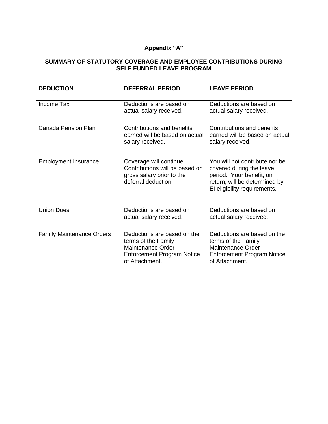# **Appendix "A"**

## **SUMMARY OF STATUTORY COVERAGE AND EMPLOYEE CONTRIBUTIONS DURING SELF FUNDED LEAVE PROGRAM**

| <b>DEDUCTION</b>                 | <b>DEFERRAL PERIOD</b>                                                                                                         | <b>LEAVE PERIOD</b>                                                                                                                                     |
|----------------------------------|--------------------------------------------------------------------------------------------------------------------------------|---------------------------------------------------------------------------------------------------------------------------------------------------------|
| Income Tax                       | Deductions are based on<br>actual salary received.                                                                             | Deductions are based on<br>actual salary received.                                                                                                      |
| Canada Pension Plan              | Contributions and benefits<br>earned will be based on actual<br>salary received.                                               | Contributions and benefits<br>earned will be based on actual<br>salary received.                                                                        |
| <b>Employment Insurance</b>      | Coverage will continue.<br>Contributions will be based on<br>gross salary prior to the<br>deferral deduction.                  | You will not contribute nor be<br>covered during the leave<br>period. Your benefit, on<br>return, will be determined by<br>EI eligibility requirements. |
| <b>Union Dues</b>                | Deductions are based on<br>actual salary received.                                                                             | Deductions are based on<br>actual salary received.                                                                                                      |
| <b>Family Maintenance Orders</b> | Deductions are based on the<br>terms of the Family<br>Maintenance Order<br><b>Enforcement Program Notice</b><br>of Attachment. | Deductions are based on the<br>terms of the Family<br><b>Maintenance Order</b><br><b>Enforcement Program Notice</b><br>of Attachment.                   |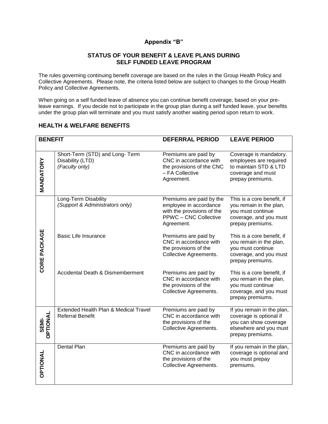## **Appendix "B"**

### **STATUS OF YOUR BENEFIT & LEAVE PLANS DURING SELF FUNDED LEAVE PROGRAM**

The rules governing continuing benefit coverage are based on the rules in the Group Health Policy and Collective Agreements. Please note, the criteria listed below are subject to changes to the Group Health Policy and Collective Agreements.

When going on a self funded leave of absence you can continue benefit coverage, based on your preleave earnings. If you decide not to participate in the group plan during a self funded leave, your benefits under the group plan will terminate and you must satisfy another waiting period upon return to work.

## **HEALTH & WELFARE BENEFITS**

| <b>BENEFIT</b>    |                                                                      | <b>DEFERRAL PERIOD</b>                                                                                                         | <b>LEAVE PERIOD</b>                                                                                                          |
|-------------------|----------------------------------------------------------------------|--------------------------------------------------------------------------------------------------------------------------------|------------------------------------------------------------------------------------------------------------------------------|
|                   |                                                                      |                                                                                                                                |                                                                                                                              |
| <b>MANDATORY</b>  | Short-Term (STD) and Long-Term<br>Disability (LTD)<br>(Faculty only) | Premiums are paid by<br>CNC in accordance with<br>the provisions of the CNC<br>- FA Collective<br>Agreement.                   | Coverage is mandatory.<br>employees are required<br>to maintain STD & LTD<br>coverage and must<br>prepay premiums.           |
|                   | Long-Term Disability<br>(Support & Administrators only)              | Premiums are paid by the<br>employee in accordance<br>with the provisions of the<br><b>PPWC - CNC Collective</b><br>Agreement. | This is a core benefit, if<br>you remain in the plan,<br>you must continue<br>coverage, and you must<br>prepay premiums.     |
| CORE PACKAGE      | <b>Basic Life Insurance</b>                                          | Premiums are paid by<br>CNC in accordance with<br>the provisions of the<br>Collective Agreements.                              | This is a core benefit, if<br>you remain in the plan,<br>you must continue<br>coverage, and you must<br>prepay premiums.     |
|                   | Accidental Death & Dismemberment                                     | Premiums are paid by<br>CNC in accordance with<br>the provisions of the<br>Collective Agreements.                              | This is a core benefit, if<br>you remain in the plan,<br>you must continue<br>coverage, and you must<br>prepay premiums.     |
| SEMI-<br>OPTIONAL | Extended Health Plan & Medical Travel<br><b>Referral Benefit</b>     | Premiums are paid by<br>CNC in accordance with<br>the provisions of the<br>Collective Agreements.                              | If you remain in the plan,<br>coverage is optional if<br>you can show coverage<br>elsewhere and you must<br>prepay premiums. |
| <b>OPTIONAL</b>   | <b>Dental Plan</b>                                                   | Premiums are paid by<br>CNC in accordance with<br>the provisions of the<br>Collective Agreements.                              | If you remain in the plan,<br>coverage is optional and<br>you must prepay<br>premiums.                                       |